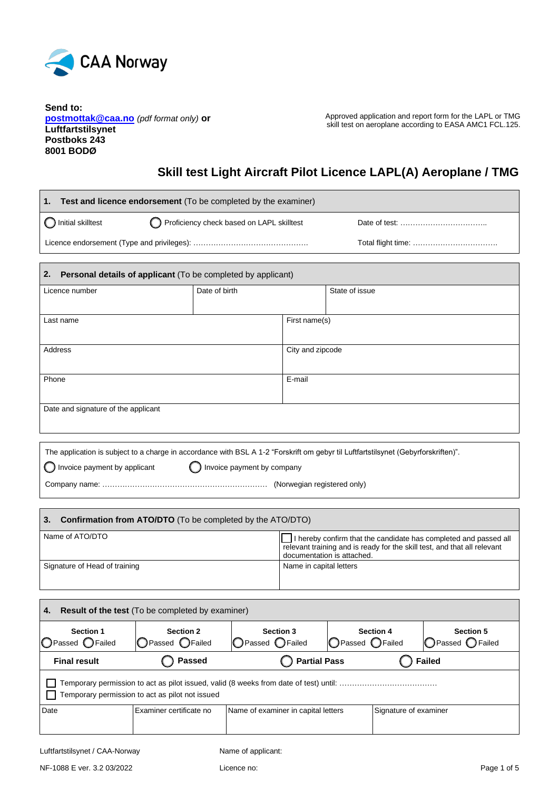

**Send to: postmottak@caa.no** *(pdf format only)* **or Luftfartstilsynet Postboks 243 8001 BODØ**

Approved application and report form for the LAPL or TMG skill test on aeroplane according to EASA AMC1 FCL.125.

# **Skill test Light Aircraft Pilot Licence LAPL(A) Aeroplane / TMG**

| <b>Test and licence endorsement</b> (To be completed by the examiner)<br>1. |                                           |                  |                |  |
|-----------------------------------------------------------------------------|-------------------------------------------|------------------|----------------|--|
| Initial skilltest                                                           | Proficiency check based on LAPL skilltest |                  |                |  |
|                                                                             |                                           |                  |                |  |
| 2.<br>Personal details of applicant (To be completed by applicant)          |                                           |                  |                |  |
| Licence number                                                              | Date of birth                             |                  | State of issue |  |
| Last name                                                                   |                                           | First name(s)    |                |  |
| Address                                                                     |                                           | City and zipcode |                |  |
| Phone                                                                       |                                           | E-mail           |                |  |
| Date and signature of the applicant                                         |                                           |                  |                |  |

| The application is subject to a charge in accordance with BSL A 1-2 "Forskrift om gebyr til Luftfartstilsynet (Gebyrforskriften)". |                              |  |  |
|------------------------------------------------------------------------------------------------------------------------------------|------------------------------|--|--|
| $\bigcirc$ Invoice payment by applicant                                                                                            | O Invoice payment by company |  |  |
|                                                                                                                                    | (Norwegian registered only)  |  |  |

| <b>Confirmation from ATO/DTO</b> (To be completed by the ATO/DTO) |                                                                                                                                                                            |  |  |
|-------------------------------------------------------------------|----------------------------------------------------------------------------------------------------------------------------------------------------------------------------|--|--|
| Name of ATO/DTO                                                   | I hereby confirm that the candidate has completed and passed all<br>relevant training and is ready for the skill test, and that all relevant<br>documentation is attached. |  |  |
| Signature of Head of training                                     | Name in capital letters                                                                                                                                                    |  |  |

| <b>Result of the test</b> (To be completed by examiner)<br>4.                                                                                                                                         |                                                       |  |  |  |  |
|-------------------------------------------------------------------------------------------------------------------------------------------------------------------------------------------------------|-------------------------------------------------------|--|--|--|--|
| <b>Section 2</b><br><b>Section 3</b><br><b>Section 4</b><br><b>Section 5</b><br><b>Section 1</b><br>○ Passed ○ Failed<br>○Passed ○Failed<br>○Passed ○Failed<br>○ Passed ○ Failed<br>○ Passed ○ Failed |                                                       |  |  |  |  |
| <b>Final result</b>                                                                                                                                                                                   | <b>Partial Pass</b><br><b>Passed</b><br><b>Failed</b> |  |  |  |  |
| Temporary permission to act as pilot issued, valid (8 weeks from date of test) until: …………………………………<br>Temporary permission to act as pilot not issued                                                |                                                       |  |  |  |  |
| Date<br>Examiner certificate no<br>Signature of examiner<br>Name of examiner in capital letters                                                                                                       |                                                       |  |  |  |  |
|                                                                                                                                                                                                       |                                                       |  |  |  |  |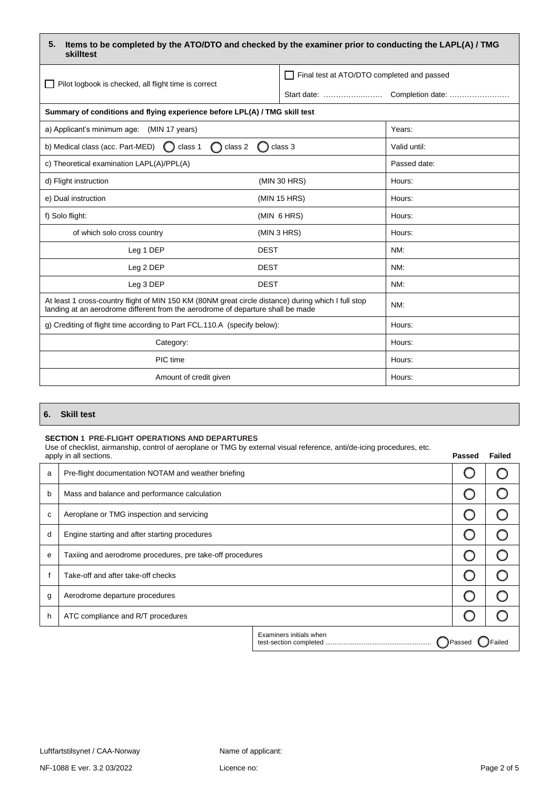| 5. Items to be completed by the ATO/DTO and checked by the examiner prior to conducting the LAPL(A) / TMG |
|-----------------------------------------------------------------------------------------------------------|
| skilltest                                                                                                 |

| Pilot logbook is checked, all flight time is correct                                                                                                                                   | Final test at ATO/DTO completed and passed |              |
|----------------------------------------------------------------------------------------------------------------------------------------------------------------------------------------|--------------------------------------------|--------------|
|                                                                                                                                                                                        |                                            |              |
| Summary of conditions and flying experience before LPL(A) / TMG skill test                                                                                                             |                                            |              |
| a) Applicant's minimum age: (MIN 17 years)                                                                                                                                             |                                            | Years:       |
| b) Medical class (acc. Part-MED)<br>class 1<br>class 2                                                                                                                                 | class 3                                    | Valid until: |
| c) Theoretical examination LAPL(A)/PPL(A)                                                                                                                                              |                                            | Passed date: |
| d) Flight instruction                                                                                                                                                                  | (MIN 30 HRS)                               | Hours:       |
| e) Dual instruction                                                                                                                                                                    | (MIN 15 HRS)                               | Hours:       |
| f) Solo flight:                                                                                                                                                                        | (MIN 6 HRS)                                | Hours:       |
| of which solo cross country                                                                                                                                                            | (MIN 3 HRS)                                | Hours:       |
| Leg 1 DEP<br><b>DEST</b>                                                                                                                                                               |                                            | NM:          |
| Leg 2 DEP<br><b>DEST</b>                                                                                                                                                               |                                            | NM:          |
| Leg 3 DEP<br><b>DEST</b>                                                                                                                                                               |                                            | NM:          |
| At least 1 cross-country flight of MIN 150 KM (80NM great circle distance) during which I full stop<br>landing at an aerodrome different from the aerodrome of departure shall be made |                                            | NM:          |
| g) Crediting of flight time according to Part FCL.110.A (specify below):                                                                                                               |                                            | Hours:       |
| Category:                                                                                                                                                                              |                                            | Hours:       |
| PIC time                                                                                                                                                                               |                                            | Hours:       |
| Amount of credit given                                                                                                                                                                 |                                            | Hours:       |

### **6. Skill test**

### **SECTION 1 PRE-FLIGHT OPERATIONS AND DEPARTURES**

Use of checklist, airmanship, control of aeroplane or TMG by external visual reference, anti/de-icing procedures, etc.

|   | ou or original anniancing, control or acropiano or Timo by external violari crononce, antifac follig procedured, ctc.<br>apply in all sections. |                         | Passed        | Failed |
|---|-------------------------------------------------------------------------------------------------------------------------------------------------|-------------------------|---------------|--------|
| a | Pre-flight documentation NOTAM and weather briefing                                                                                             |                         |               |        |
| b | Mass and balance and performance calculation                                                                                                    |                         |               |        |
| c | Aeroplane or TMG inspection and servicing                                                                                                       |                         |               |        |
| d | Engine starting and after starting procedures                                                                                                   |                         |               |        |
| e | Taxiing and aerodrome procedures, pre take-off procedures                                                                                       |                         |               |        |
|   | Take-off and after take-off checks                                                                                                              |                         |               |        |
| g | Aerodrome departure procedures                                                                                                                  |                         |               |        |
| h | ATC compliance and R/T procedures                                                                                                               |                         |               |        |
|   |                                                                                                                                                 | Examiners initials when | <b>J</b> Pass |        |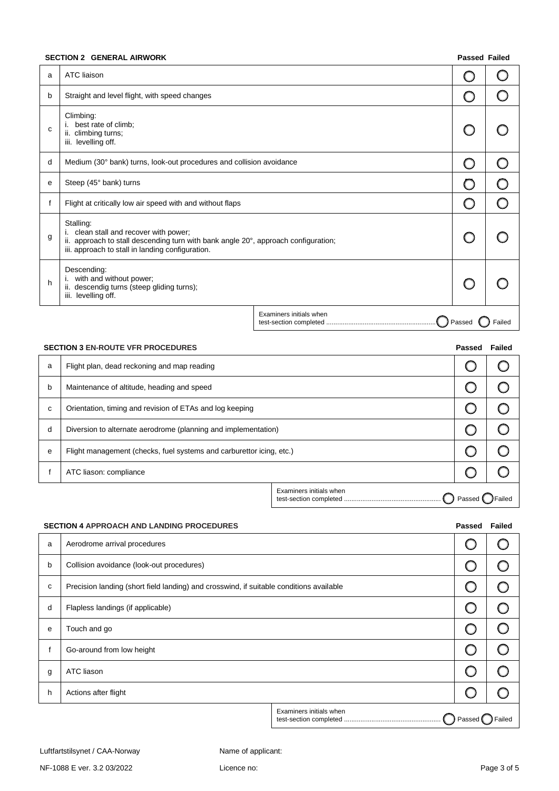## **SECTION 2 GENERAL AIRWORK**

| <b>Passed Failed</b> |  |
|----------------------|--|
|----------------------|--|

| a            | ATC liaison                                                                                                                                                                                   |                         |        |       |
|--------------|-----------------------------------------------------------------------------------------------------------------------------------------------------------------------------------------------|-------------------------|--------|-------|
| b            | Straight and level flight, with speed changes                                                                                                                                                 |                         |        |       |
| $\mathsf{C}$ | Climbing:<br>best rate of climb;<br>i.<br>ii. climbing turns;<br>iii. levelling off.                                                                                                          |                         |        |       |
| d            | Medium (30° bank) turns, look-out procedures and collision avoidance                                                                                                                          |                         |        |       |
| e            | Steep (45° bank) turns                                                                                                                                                                        |                         |        |       |
|              | Flight at critically low air speed with and without flaps                                                                                                                                     |                         |        |       |
| g            | Stalling:<br>i. clean stall and recover with power;<br>ii. approach to stall descending turn with bank angle 20°, approach configuration;<br>iii. approach to stall in landing configuration. |                         |        |       |
| h            | Descending:<br>with and without power;<br>i.<br>ii. descendig turns (steep gliding turns);<br>iii. levelling off.                                                                             |                         |        |       |
|              |                                                                                                                                                                                               | Examiners initials when | Passed | ailed |

|   | <b>SECTION 3 EN-ROUTE VFR PROCEDURES</b>                             |                         | <b>Passed</b> | Failed |
|---|----------------------------------------------------------------------|-------------------------|---------------|--------|
| a | Flight plan, dead reckoning and map reading                          |                         |               |        |
| b | Maintenance of altitude, heading and speed                           |                         |               |        |
| C | Orientation, timing and revision of ETAs and log keeping             |                         |               |        |
| d | Diversion to alternate aerodrome (planning and implementation)       |                         |               |        |
| e | Flight management (checks, fuel systems and carburettor icing, etc.) |                         |               |        |
|   | ATC liason: compliance                                               |                         |               |        |
|   |                                                                      | Examiners initials when |               |        |

### **SECTION 4 APPROACH AND LANDING PROCEDURES Passed Failed**

| Aerodrome arrival procedures<br>a<br>Collision avoidance (look-out procedures)<br>b<br>Precision landing (short field landing) and crosswind, if suitable conditions available<br>c<br>Flapless landings (if applicable)<br>d<br>Touch and go<br>е<br>Go-around from low height<br>ATC liason<br>g<br>Actions after flight<br>h<br>Examiners initials when<br>Passed |  |  |        |
|----------------------------------------------------------------------------------------------------------------------------------------------------------------------------------------------------------------------------------------------------------------------------------------------------------------------------------------------------------------------|--|--|--------|
|                                                                                                                                                                                                                                                                                                                                                                      |  |  |        |
|                                                                                                                                                                                                                                                                                                                                                                      |  |  |        |
|                                                                                                                                                                                                                                                                                                                                                                      |  |  |        |
|                                                                                                                                                                                                                                                                                                                                                                      |  |  |        |
|                                                                                                                                                                                                                                                                                                                                                                      |  |  |        |
|                                                                                                                                                                                                                                                                                                                                                                      |  |  |        |
|                                                                                                                                                                                                                                                                                                                                                                      |  |  |        |
|                                                                                                                                                                                                                                                                                                                                                                      |  |  |        |
|                                                                                                                                                                                                                                                                                                                                                                      |  |  | Failed |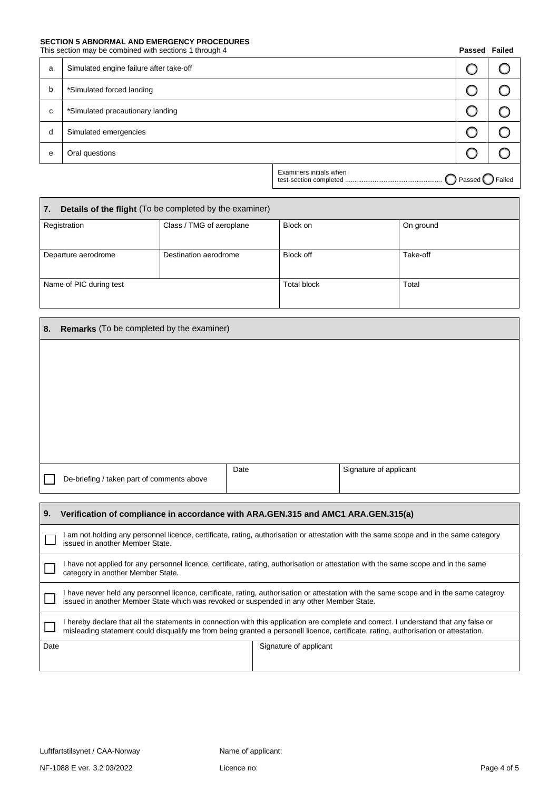# **SECTION 5 ABNORMAL AND EMERGENCY PROCEDURES**<br>This section may be combined with sections 1 through 4

| This section may be combined with sections 1 through 4 |  |  |  |
|--------------------------------------------------------|--|--|--|
|--------------------------------------------------------|--|--|--|

| This section may be combined with sections 1 through 4 |                                         |                         | <b>Passed Failed</b>                |  |
|--------------------------------------------------------|-----------------------------------------|-------------------------|-------------------------------------|--|
| a                                                      | Simulated engine failure after take-off |                         |                                     |  |
| b                                                      | *Simulated forced landing               |                         |                                     |  |
| C                                                      | *Simulated precautionary landing        |                         |                                     |  |
| d                                                      | Simulated emergencies                   |                         |                                     |  |
| е                                                      | Oral questions                          |                         |                                     |  |
|                                                        |                                         | Examiners initials when | $\bigcirc$ Passed $\bigcirc$ Failed |  |

| Details of the flight (To be completed by the examiner)<br>$\overline{7}$ . |                          |                    |           |  |
|-----------------------------------------------------------------------------|--------------------------|--------------------|-----------|--|
| Registration                                                                | Class / TMG of aeroplane | Block on           | On ground |  |
| Departure aerodrome                                                         | Destination aerodrome    | <b>Block off</b>   | Take-off  |  |
| Name of PIC during test                                                     |                          | <b>Total block</b> | Total     |  |

| 8.                                                                                      | <b>Remarks</b> (To be completed by the examiner)                                                                                                                          |      |                        |
|-----------------------------------------------------------------------------------------|---------------------------------------------------------------------------------------------------------------------------------------------------------------------------|------|------------------------|
|                                                                                         |                                                                                                                                                                           |      |                        |
|                                                                                         |                                                                                                                                                                           |      |                        |
|                                                                                         |                                                                                                                                                                           |      |                        |
|                                                                                         |                                                                                                                                                                           |      |                        |
|                                                                                         |                                                                                                                                                                           |      |                        |
|                                                                                         |                                                                                                                                                                           |      |                        |
|                                                                                         |                                                                                                                                                                           | Date | Signature of applicant |
|                                                                                         | De-briefing / taken part of comments above                                                                                                                                |      |                        |
|                                                                                         |                                                                                                                                                                           |      |                        |
| 9.<br>Verification of compliance in accordance with ARA.GEN.315 and AMC1 ARA.GEN.315(a) |                                                                                                                                                                           |      |                        |
|                                                                                         | I am not holding any personnel licence, certificate, rating, authorisation or attestation with the same scope and in the same category<br>issued in another Member State. |      |                        |
|                                                                                         | I have not applied for any personnel licence, certificate, rating, authorisation or attestation with the same scope and in the same<br>category in another Member State.  |      |                        |
|                                                                                         | I have never held any personnel licence, certificate, rating, authorisation or attestation with the same scope and in the same categrov                                   |      |                        |

|      | Thave never neig any personnel licence, centificate, rating, additionsation or attestation with the same scope and in the same categroy<br>issued in another Member State which was revoked or suspended in any other Member State.                                          |                        |  |
|------|------------------------------------------------------------------------------------------------------------------------------------------------------------------------------------------------------------------------------------------------------------------------------|------------------------|--|
|      | I hereby declare that all the statements in connection with this application are complete and correct. I understand that any false or<br>misleading statement could disqualify me from being granted a personell licence, certificate, rating, authorisation or attestation. |                        |  |
| Date |                                                                                                                                                                                                                                                                              | Signature of applicant |  |